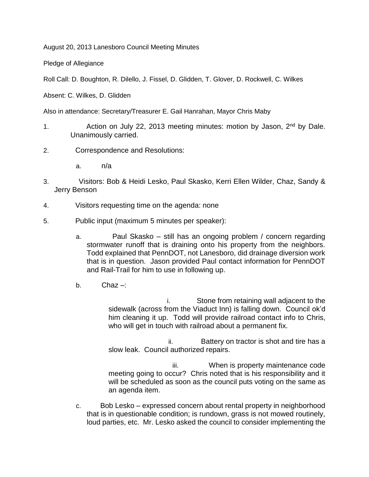August 20, 2013 Lanesboro Council Meeting Minutes

Pledge of Allegiance

Roll Call: D. Boughton, R. Dilello, J. Fissel, D. Glidden, T. Glover, D. Rockwell, C. Wilkes

Absent: C. Wilkes, D. Glidden

Also in attendance: Secretary/Treasurer E. Gail Hanrahan, Mayor Chris Maby

- 1. Action on July 22, 2013 meeting minutes: motion by Jason, 2<sup>nd</sup> by Dale. Unanimously carried.
- 2. Correspondence and Resolutions:
	- a. n/a
- 3. Visitors: Bob & Heidi Lesko, Paul Skasko, Kerri Ellen Wilder, Chaz, Sandy & Jerry Benson
- 4. Visitors requesting time on the agenda: none
- 5. Public input (maximum 5 minutes per speaker):
	- a. Paul Skasko still has an ongoing problem / concern regarding stormwater runoff that is draining onto his property from the neighbors. Todd explained that PennDOT, not Lanesboro, did drainage diversion work that is in question. Jason provided Paul contact information for PennDOT and Rail-Trail for him to use in following up.
	- b. Chaz –:

 i. Stone from retaining wall adjacent to the sidewalk (across from the Viaduct Inn) is falling down. Council ok'd him cleaning it up. Todd will provide railroad contact info to Chris, who will get in touch with railroad about a permanent fix.

 ii. Battery on tractor is shot and tire has a slow leak. Council authorized repairs.

 iii. When is property maintenance code meeting going to occur? Chris noted that is his responsibility and it will be scheduled as soon as the council puts voting on the same as an agenda item.

c. Bob Lesko – expressed concern about rental property in neighborhood that is in questionable condition; is rundown, grass is not mowed routinely, loud parties, etc. Mr. Lesko asked the council to consider implementing the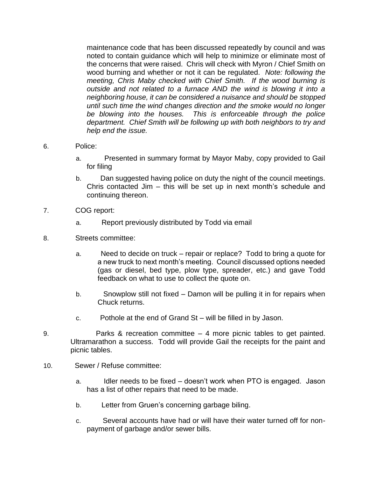maintenance code that has been discussed repeatedly by council and was noted to contain guidance which will help to minimize or eliminate most of the concerns that were raised. Chris will check with Myron / Chief Smith on wood burning and whether or not it can be regulated. *Note: following the meeting, Chris Maby checked with Chief Smith. If the wood burning is outside and not related to a furnace AND the wind is blowing it into a neighboring house, it can be considered a nuisance and should be stopped until such time the wind changes direction and the smoke would no longer be blowing into the houses. This is enforceable through the police department. Chief Smith will be following up with both neighbors to try and help end the issue.*

- 6. Police:
	- a. Presented in summary format by Mayor Maby, copy provided to Gail for filing
	- b. Dan suggested having police on duty the night of the council meetings. Chris contacted Jim – this will be set up in next month's schedule and continuing thereon.
- 7. COG report:
	- a. Report previously distributed by Todd via email
- 8. Streets committee:
	- a. Need to decide on truck repair or replace? Todd to bring a quote for a new truck to next month's meeting. Council discussed options needed (gas or diesel, bed type, plow type, spreader, etc.) and gave Todd feedback on what to use to collect the quote on.
	- b. Snowplow still not fixed Damon will be pulling it in for repairs when Chuck returns.
	- c. Pothole at the end of Grand St will be filled in by Jason.
- 9. Parks & recreation committee 4 more picnic tables to get painted. Ultramarathon a success. Todd will provide Gail the receipts for the paint and picnic tables.
- 10. Sewer / Refuse committee:
	- a. Idler needs to be fixed doesn't work when PTO is engaged. Jason has a list of other repairs that need to be made.
	- b. Letter from Gruen's concerning garbage biling.
	- c. Several accounts have had or will have their water turned off for nonpayment of garbage and/or sewer bills.